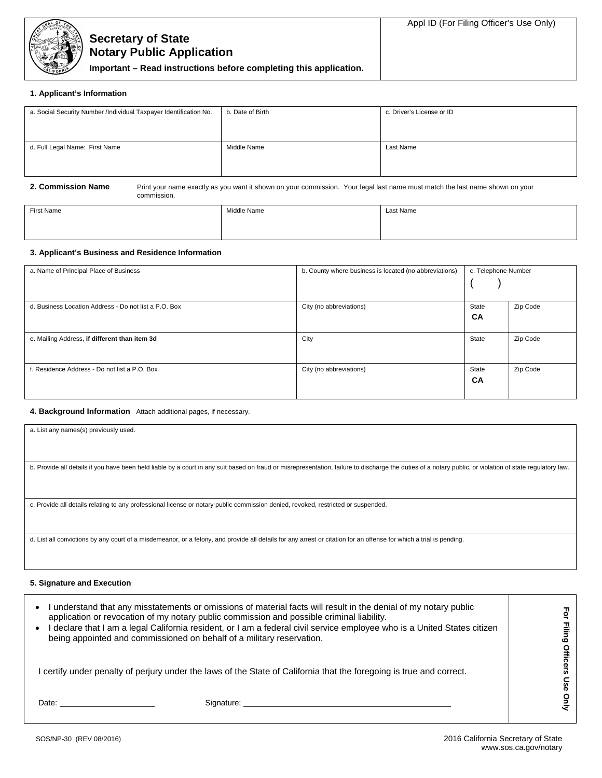

**Important – Read instructions before completing this application.**

### **1. Applicant's Information**

| a. Social Security Number /Individual Taxpayer Identification No. | b. Date of Birth | c. Driver's License or ID |
|-------------------------------------------------------------------|------------------|---------------------------|
| d. Full Legal Name: First Name                                    | Middle Name      | Last Name                 |

**2. Commission Name** Print your name exactly as you want it shown on your commission. Your legal last name must match the last name shown on your commission.

| First Name | Middle Name<br>. | Last Name |
|------------|------------------|-----------|
|            |                  |           |
|            |                  |           |

## **3. Applicant's Business and Residence Information**

| a. Name of Principal Place of Business                | b. County where business is located (no abbreviations) | c. Telephone Number |          |
|-------------------------------------------------------|--------------------------------------------------------|---------------------|----------|
| d. Business Location Address - Do not list a P.O. Box | City (no abbreviations)                                | State<br>CA         | Zip Code |
| e. Mailing Address, if different than item 3d         | City                                                   | State               | Zip Code |
| f. Residence Address - Do not list a P.O. Box         | City (no abbreviations)                                | State<br><b>CA</b>  | Zip Code |

## **4. Background Information** Attach additional pages, if necessary.

| a. List any names(s) previously used. |
|---------------------------------------|
|                                       |

b. Provide all details if you have been held liable by a court in any suit based on fraud or misrepresentation, failure to discharge the duties of a notary public, or violation of state regulatory law.

c. Provide all details relating to any professional license or notary public commission denied, revoked, restricted or suspended.

d. List all convictions by any court of a misdemeanor, or a felony, and provide all details for any arrest or citation for an offense for which a trial is pending.

#### **5. Signature and Execution**

| being appointed and commissioned on behalf of a military reservation.                                                                                                                                                          | understand that any misstatements or omissions of material facts will result in the denial of my notary public<br>application or revocation of my notary public commission and possible criminal liability.<br>I declare that I am a legal California resident, or I am a federal civil service employee who is a United States citizen |  |
|--------------------------------------------------------------------------------------------------------------------------------------------------------------------------------------------------------------------------------|-----------------------------------------------------------------------------------------------------------------------------------------------------------------------------------------------------------------------------------------------------------------------------------------------------------------------------------------|--|
|                                                                                                                                                                                                                                | certify under penalty of perjury under the laws of the State of California that the foregoing is true and correct.                                                                                                                                                                                                                      |  |
| Date: the contract of the contract of the contract of the contract of the contract of the contract of the contract of the contract of the contract of the contract of the contract of the contract of the contract of the cont | Signature: Signature:                                                                                                                                                                                                                                                                                                                   |  |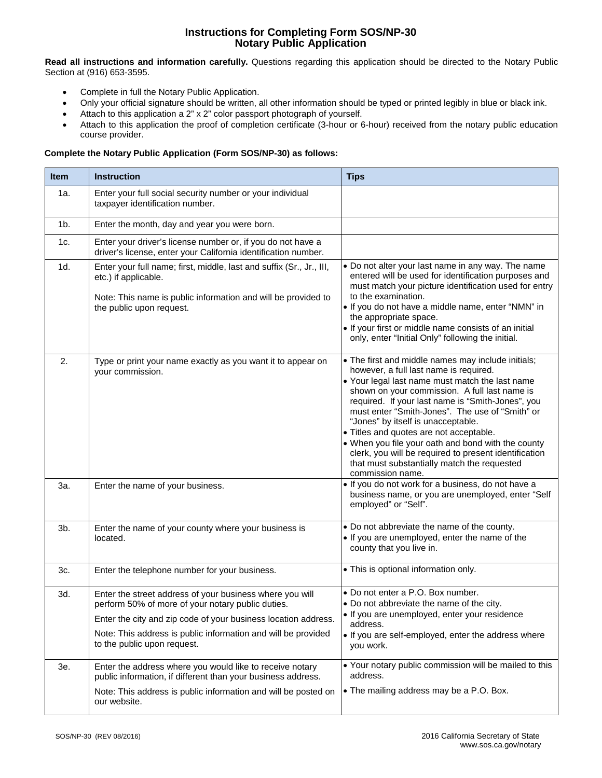# **Instructions for Completing Form SOS/NP-30 Notary Public Application**

**Read all instructions and information carefully.** Questions regarding this application should be directed to the Notary Public Section at (916) 653-3595.

- Complete in full the Notary Public Application.
- Only your official signature should be written, all other information should be typed or printed legibly in blue or black ink.
- Attach to this application a 2" x 2" color passport photograph of yourself.
- Attach to this application the proof of completion certificate (3-hour or 6-hour) received from the notary public education course provider.

# **Complete the Notary Public Application (Form SOS/NP-30) as follows:**

| <b>Item</b> | <b>Instruction</b>                                                                                                                                                                                                                                                              | <b>Tips</b>                                                                                                                                                                                                                                                                                                                                                                                                                                                                                                                                                                 |
|-------------|---------------------------------------------------------------------------------------------------------------------------------------------------------------------------------------------------------------------------------------------------------------------------------|-----------------------------------------------------------------------------------------------------------------------------------------------------------------------------------------------------------------------------------------------------------------------------------------------------------------------------------------------------------------------------------------------------------------------------------------------------------------------------------------------------------------------------------------------------------------------------|
| 1a.         | Enter your full social security number or your individual<br>taxpayer identification number.                                                                                                                                                                                    |                                                                                                                                                                                                                                                                                                                                                                                                                                                                                                                                                                             |
| $1b$ .      | Enter the month, day and year you were born.                                                                                                                                                                                                                                    |                                                                                                                                                                                                                                                                                                                                                                                                                                                                                                                                                                             |
| 1c.         | Enter your driver's license number or, if you do not have a<br>driver's license, enter your California identification number.                                                                                                                                                   |                                                                                                                                                                                                                                                                                                                                                                                                                                                                                                                                                                             |
| 1d.         | Enter your full name; first, middle, last and suffix (Sr., Jr., III,<br>etc.) if applicable.<br>Note: This name is public information and will be provided to<br>the public upon request.                                                                                       | . Do not alter your last name in any way. The name<br>entered will be used for identification purposes and<br>must match your picture identification used for entry<br>to the examination.<br>. If you do not have a middle name, enter "NMN" in<br>the appropriate space.<br>. If your first or middle name consists of an initial<br>only, enter "Initial Only" following the initial.                                                                                                                                                                                    |
| 2.          | Type or print your name exactly as you want it to appear on<br>your commission.                                                                                                                                                                                                 | • The first and middle names may include initials;<br>however, a full last name is required.<br>• Your legal last name must match the last name<br>shown on your commission. A full last name is<br>required. If your last name is "Smith-Jones", you<br>must enter "Smith-Jones". The use of "Smith" or<br>"Jones" by itself is unacceptable.<br>• Titles and quotes are not acceptable.<br>. When you file your oath and bond with the county<br>clerk, you will be required to present identification<br>that must substantially match the requested<br>commission name. |
| За.         | Enter the name of your business.                                                                                                                                                                                                                                                | . If you do not work for a business, do not have a<br>business name, or you are unemployed, enter "Self<br>employed" or "Self".                                                                                                                                                                                                                                                                                                                                                                                                                                             |
| 3b.         | Enter the name of your county where your business is<br>located.                                                                                                                                                                                                                | • Do not abbreviate the name of the county.<br>. If you are unemployed, enter the name of the<br>county that you live in.                                                                                                                                                                                                                                                                                                                                                                                                                                                   |
| 3c.         | Enter the telephone number for your business.                                                                                                                                                                                                                                   | • This is optional information only.                                                                                                                                                                                                                                                                                                                                                                                                                                                                                                                                        |
| 3d.         | Enter the street address of your business where you will<br>perform 50% of more of your notary public duties.<br>Enter the city and zip code of your business location address.<br>Note: This address is public information and will be provided<br>to the public upon request. | • Do not enter a P.O. Box number.<br>• Do not abbreviate the name of the city.<br>· If you are unemployed, enter your residence<br>address.<br>. If you are self-employed, enter the address where<br>you work.                                                                                                                                                                                                                                                                                                                                                             |
| 3e.         | Enter the address where you would like to receive notary<br>public information, if different than your business address.<br>Note: This address is public information and will be posted on<br>our website.                                                                      | • Your notary public commission will be mailed to this<br>address.<br>• The mailing address may be a P.O. Box.                                                                                                                                                                                                                                                                                                                                                                                                                                                              |